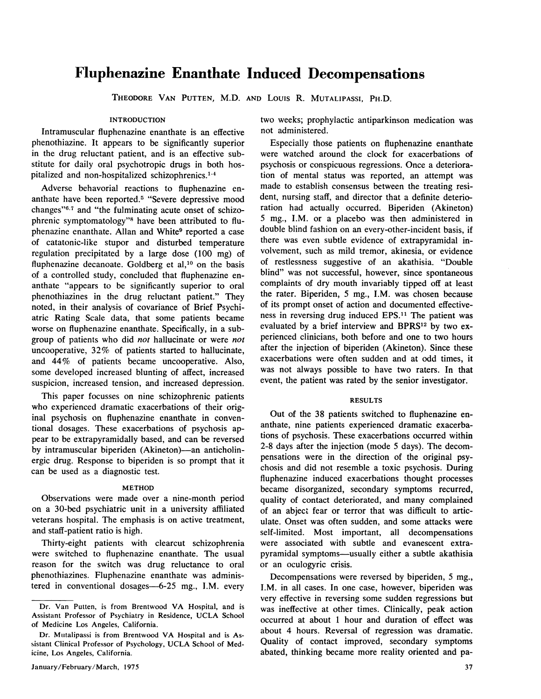# **Fluphenazine Enanthate Induced Decompensations**

THEODORE VAN PUTTEN, M.D. AND LOUIS R. MUTALIPASSI, PH.D.

## INTRODUCTION

Intramuscular fluphenazine enanthate is an effective phenothiazine. It appears to be significantly superior in the drug reluctant patient, and is an effective substitute for daily oral psychotropic drugs in both hospitalized and non-hospitalized schizophrenics.<sup>1-4</sup>

Adverse behavorial reactions to fluphenazine enanthate have been reported.<sup>5</sup> "Severe depressive mood changes"6.7 and "the fulminating acute onset of schizophrenic symptomatology"<sup>8</sup> have been attributed to fluphenazine enanthate. Allan and White<sup>9</sup> reported a case of catatonic-like stupor and disturbed temperature regulation precipitated by a large dose (100 mg) of fluphenazine decanoate. Goldberg et al,<sup>10</sup> on the basis of a controlled study, concluded that fluphenazine enanthate "appears to be significantly superior to oral phenothiazines in the drug reluctant patient." They noted, in their analysis of covariance of Brief Psychiatric Rating Scale data, that some patients became worse on fluphenazine enanthate. Specifically, in a subgroup of patients who did *not* hallucinate or were *not* uncooperative, 32% of patients started to hallucinate, and 44% of patients became uncooperative. Also, some developed increased blunting of affect, increased suspicion, increased tension, and increased depression.

This paper focusses on nine schizophrenic patients who experienced dramatic exacerbations of their original psychosis on fluphenazine enanthate in conventional dosages. These exacerbations of psychosis appear to be extrapyramidally based, and can be reversed by intramuscular biperiden (Akineton)—an anticholinergic drug. Response to biperiden is so prompt that it can be used as a diagnostic test.

## METHOD

Observations were made over a nine-month period on a 30-bed psychiatric unit in a university affiliated veterans hospital. The emphasis is on active treatment, and staff-patient ratio is high.

Thirty-eight patients with clearcut schizophrenia were switched to fluphenazine enanthate. The usual reason for the switch was drug reluctance to oral phenothiazines. Fluphenazine enanthatc was administered in conventional dosages-6-25 mg., I.M. every two weeks; prophylactic antiparkinson medication was not administered.

Especially those patients on fluphenazine enanthate were watched around the clock for exacerbations of psychosis or conspicuous regressions. Once a deterioration of mental status was reported, an attempt was made to establish consensus between the treating resident, nursing staff, and director that a definite deterioration had actually occurred. Biperiden (Akineton) 5 mg., I.M. or a placebo was then administered in double blind fashion on an every-other-incident basis, if there was even subtle evidence of extrapyramidal involvement, such as mild tremor, akinesia, or evidence of restlessness suggestive of an akathisia. "Double blind" was not successful, however, since spontaneous complaints of dry mouth invariably tipped off at least the rater. Biperiden, 5 mg., I.M. was chosen because of its prompt onset of action and documented effectiveness in reversing drug induced EPS.<sup>11</sup> The patient was evaluated by a brief interview and BPRS<sup>12</sup> by two experienced clinicians, both before and one to two hours after the injection of biperiden (Akineton). Since these exacerbations were often sudden and at odd times, it was not always possible to have two raters. In that event, the patient was rated by the senior investigator.

## **RESULTS**

Out of the 38 patients switched to fluphenazine enanthate, nine patients experienced dramatic exacerbations of psychosis. These exacerbations occurred within 2-8 days after the injection (mode 5 days). The decompensations were in the direction of the original psychosis and did not resemble a toxic psychosis. During fluphenazine induced exacerbations thought processes became disorganized, secondary symptoms recurred, quality of contact deteriorated, and many complained of an abject fear or terror that was difficult to articulate. Onset was often sudden, and some attacks were self-limited. Most important, all decompensations were associated with subtle and evanescent extrapyramidal symptoms-usually either a subtle akathisia or an oculogyric crisis.

Decompensations were reversed by biperiden, 5 mg., I.M. in all cases. In one case, however, biperiden was very effective in reversing some sudden regressions but was ineffective at other times. Clinically, peak action occurred at about 1 hour and duration of effect was about 4 hours. Reversal of regression was dramatic. Quality of contact improved, secondary symptoms abated, thinking became more reality oriented and pa-

Dr. Van Putten, is from Brentwood VA Hospital, and is Assistant Professor of Psychiatry in Residence, UCLA School of Medicine Los Angeles, California.

Dr. Mutalipassi is from Brentwood VA Hospital and is Assistant Clinical Professor of Psychology, UCLA School of Medicine, Los Angeles, California.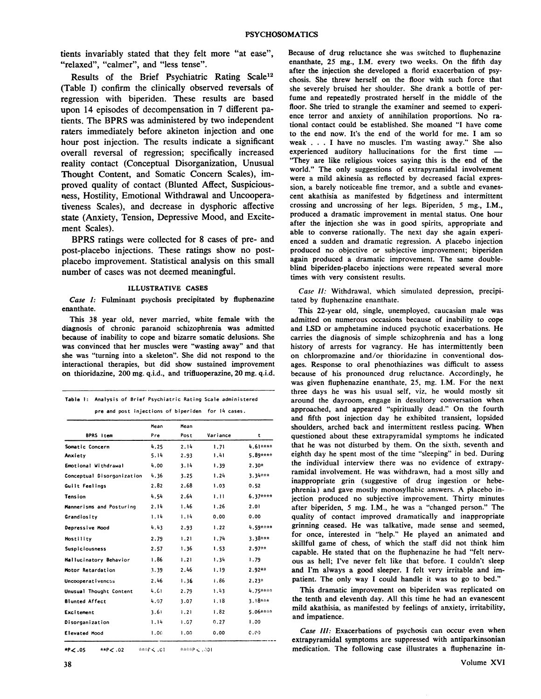tients invariably stated that they felt more "at ease", "relaxed", "calmer", and "less tense".

Results of the Brief Psychiatric Rating Scale12 (Table I) confirm the clinically observed reversals of regression with biperiden. These results are based upon 14 episodes of decompensation in 7 different patients. The BPRS was administered by two independent raters immediately before akineton injection and one hour post injection. The results indicate a significant overall reversal of regression; specifically increased reality contact (Conceptual Disorganization, Unusual Thought Content, and Somatic Concern Scales), improved quality of contact (Blunted Affect, Suspiciousness, Hostility, Emotional Withdrawal and Uncooperativeness Scales), and decrease in dysphoric affective state (Anxiety, Tension, Depressive Mood, and Excitement Scales).

BPRS ratings were collected for 8 cases of pre- and post-placebo injections. These ratings show no postplacebo improvement. Statistical analysis on this small number of cases was not deemed meaningful.

### ILLUSTRATIVE CASES

*Case I:* Fulminant psychosis precipitated by fluphenazine enanthate.

This 38 year old, never married, white female with the diagnosis of chronic paranoid schizophrenia was admitted because of inability to cope and bizarre somatic delusions. She was convinced that her muscles were "wasting away" and that she was "turning into a skeleton". She did not respond to the interactional therapies, but did show sustained improvement on thioridazine, 200 mg. q.i.d., and trifluoperazine, 20 mg. q.i.d.

| pre and post injections of biperiden for 14 cases. |      |      |          |           |
|----------------------------------------------------|------|------|----------|-----------|
|                                                    | Mean | Mean |          |           |
| BPRS Item                                          | Pre  | Post | Variance | t         |
| Somatic Concern                                    | 4.25 | 2.14 | 1.71     | $4.61***$ |
| Anxiety                                            | 5.14 | 2.93 | 1.41     | 5.89****  |
| Emotional Withdrawal                               | 4.00 | 3.14 | 1.39     | $2.30*$   |
| Conceptual Disorganization                         | 4.36 | 3.25 | 1.24     | $3.34***$ |
| Guilt Feelings                                     | 2.82 | 2.68 | 1.03     | 0.52      |
| Tension                                            | 4.54 | 2.64 | 1.11     | $6.37***$ |
| Mannerisms and Posturing                           | 2.14 | 1.46 | 1.26     | 2.01      |
| Grandiosity                                        | 1.14 | 1.14 | 0.00     | 0.00      |
| Depressive Mood                                    | 4.43 | 2.93 | 1.22     | 4.59****  |
| Hostility                                          | 2.79 | 1.21 | 1.74     | 3.38***   |
| Suspiciousness                                     | 2.57 | 1.36 | 1.53     | $2.97**$  |
| Hallucinatory Behavior                             | 1.86 | 1.21 | 1.34     | 1.79      |
| Motor Retardation                                  | 3.39 | 2.46 | 1.19     | $2.92**$  |
| Uncooperativeness                                  | 2.46 | 1.36 | 1.86     | $2.23*$   |
| Unusual Thought Content                            | 4.61 | 2.79 | 1.43     | 4.75****  |
| <b>Blunted Affect</b>                              | 4.07 | 3.07 | 1.18     | $3.18***$ |
| <b>Excitement</b>                                  | 3.61 | 1.21 | 1.82     | 5.06****  |
| Disorganization                                    | 1.14 | 1.07 | 0.27     | 1.00      |
| Elevated Mood                                      | 1.00 | 1.00 | 0.00     | 0.00      |

\*p< .05 "P< .02 ""',',r, .CI "",.,,',?< ",01

Because of drug reluctance she was switched to fluphenazine enanthate, 25 mg., I.M. every two weeks. On the fifth day after the injection she developed a florid exacerbation of psychosis. She threw herself on the floor with such force that she severely bruised her shoulder. She drank a bottle of perfume and repeatedly prostrated herself in the middle of the floor. She tried to strangle the examiner and seemed to experience terror and anxiety of annihilation proportions. No rational contact could be established. She moaned "I have come to the end now. It's the end of the world for me. I am so weak ... <sup>I</sup> have no muscles. I'm wasting away:' She also experienced auditory hallucinations for the first time -"They are like religious voices saying this is the end of the world." The only suggestions of extrapyramidal involvement were a mild akinesia as reflected by decreased facial expression, a barely noticeable fine tremor, and a subtle and evanescent akathisia as manifested by fidgetiness and intermittent crossing and uncrossing of her legs. Biperiden, 5 mg., I.M., produced a dramatic improvement in mental status. One hour after the injection she was in good spirits, appropriate and able to converse rationally. The next day she again experienced a sudden and dramatic regression. A placebo injection produced no objective or subjective improvement; biperiden again produced a dramatic improvement. The same doubleblind biperiden-placebo injections were repeated several more times with very consistent results.

*Case II:* Withdrawal, which simulated depression, precipitated by fluphenazine enanthate.

This 22-year old, single, unemployed, caucasian male was admitted on numerous occasions because of inability to cope and LSD or amphetamine induced psychotic exacerbations. He carries the diagnosis of simple schizophrenia and has a long history of arrests for vagrancy. He has intermittently been on chlorpromazine and/or thioridazine in conventional dosages. Response to oral phenothiazines was difficult to assess because of his pronounced drug reluctance. Accordingly, he was given fluphenazine enanthate, 25, mg. I.M. For the next three days he was his usual self, viz, he would mostly sit around the dayroom, engage in desultory conversation when approached, and appeared "spiritually dead." On the fourth and fifth post injection day he exhibited transient, lopsided shoulders, arched back and intermittent restless pacing. When questioned about these extrapyramidal symptoms he indicated that he was not disturbed by them. On the sixth, seventh and eighth day he spent most of the time "sleeping" in bed. During the individual interview there was no evidence of extrapyramidal involvement. He was withdrawn, had a most silly and inappropriate grin (suggestive of drug ingestion or hebephrenia) and gave mostly monosyllabic answers. A placebo injection produced no subjective improvement. Thirty minutes after biperiden, 5 mg. I.M., he was a "changed person." The quality of contact improved dramatically and inappropriate grinning ceased. He was talkative, made sense and seemed, for once, interested in "help." He played an animated and skillful game of chess, of which the staff did not think him capable. He stated that on the fluphenazine he had "felt nervous as hell; I've never felt like that before. I couldn't sleep and I'm always a good sleeper. I felt very irritable and impatient. The only way I could handle it was to go to bed."

This dramatic improvement on biperiden was replicated on the tenth and eleventh day. All this time he had an evanescent mild akathisia, as manifested by feelings of anxiety, irritability, and impatience.

*Case III:* Exacerbations of psychosis can occur even when extrapyramidal symptoms are suppressed with antiparkinsonian medication. The following case illustrates a fluphenazine in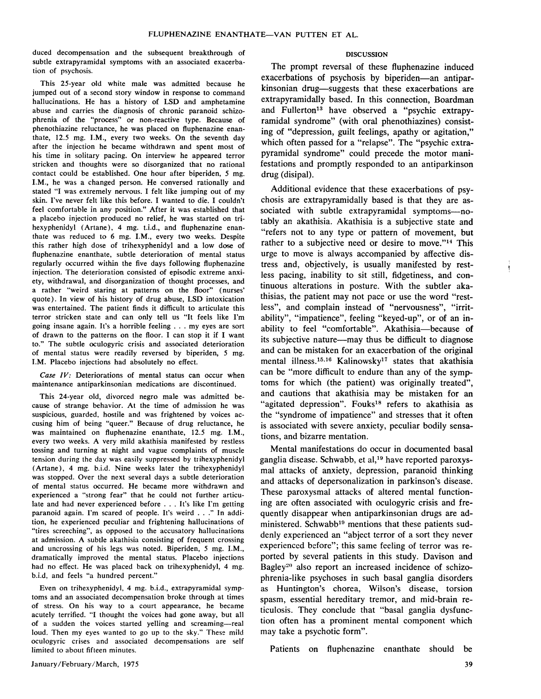duced decompensation and the subsequent breakthrough of subtle extrapyramidal symptoms with an associated exacerbation of psychosis.

This 25-year old white male was admitted because he jumped out of a second story window in response to command hallucinations. He has a history of LSD and amphetamine abuse and carries the diagnosis of chronic paranoid schizophrenia of the "process" or non-reactive type. Because of phenothiazine reluctance, he was placed on fluphenazine enanthate, 12.5 mg. I.M., every two weeks. On the seventh day after the injection he became withdrawn and spent most of his time in solitary pacing. On interview he appeared terror stricken and thoughts were so disorganized that no rational contact could be established. One hour after biperiden, 5 mg. I.M., he was a changed person. He conversed rationally and stated "I was extremely nervous. I felt like jumping out of my skin. I've never felt like this before. I wanted to die. I couldn't feel comfortable in any position." After it was established that a placebo injection produced no relief, he was started on trihexyphenidyl (Artane), 4 mg. t.i.d., and fluphenazine enanthate was reduced to 6 mg. I.M., every two weeks. Despite this rather high dose of trihexyphenidyl and a low dose of fluphenazine enanthate, subtle deterioration of mental status regularly occurred within the five days following fluphenazine injection. The deterioration consisted of episodic extreme anxiety, withdrawal, and disorganization of thought processes, and a rather "weird staring at patterns on the floor" (nurses' quote). In view of his history of drug abuse, LSD intoxication was entertained. The patient finds it difficult to articulate this terror stricken state and can only tell us "It feels like I'm going insane again. It's <sup>a</sup> horrible feeling ... my eyes are sort of drawn to the patterns on the floor. I can stop it if I want to." The subtle oculogyric crisis and associated deterioration of mental status were readily reversed by biperiden, 5 mg. I.M. Placebo injections had absolutely no effect.

*Case IV:* Deteriorations of mental status can occur when maintenance antiparkinsonian medications are discontinued.

This 24-year old, divorced negro male was admitted because of strange behavior. At the time of admission he was suspicious, guarded, hostile and was frightened by voices accusing him of being "queer." Because of drug reluctance, he was maintained on fluphenazine enanthate, 12.5 mg. I.M., every two weeks. A very mild akathisia manifested by restless tossing and turning at night and vague complaints of muscle tension during the day was easily suppressed by trihexyphenidyl (Artane), 4 mg. b.i.d. Nine weeks later the trihexyphenidyl was stopped. Over the next several days a subtle deterioration of mental status occurred. He became more withdrawn and experienced a "strong fear" that he could not further articulate and had never experienced before ... It's like I'm getting paranoid again. I'm scared of people. It's weird ..." In addi· tion, he experienced peculiar and frightening hallucinations of "tires screeching", as opposed to the accusatory hallucinations at admission. A subtle akathisia consisting of frequent crossing and uncrossing of his legs was noted. Biperiden, 5 mg. I.M., dramatically improved the mental status. Placebo injections had no effect. He was placed back on trihexyphenidyl, 4 mg. b.i.d, and feels "a hundred percent."

Even on trihexyphenidyl, 4 mg. b.i.d., extrapyramidal symptoms and an associated decompensation broke through at times of stress. On his way to a court appearance, he became acutely terrified. "I thought the voices had gone away, but all of a sudden the voices started yelling and screaming-real loud. Then my eyes wanted to go up to the sky." These mild oculogyric crises and associated decompensations are self limited to about fifteen minutes.

## DISCUSSION

The prompt reversal of these fluphenazine induced exacerbations of psychosis by biperiden-an antiparkinsonian drug—suggests that these exacerbations are extrapyramidally based. In this connection, Boardman and Fullerton<sup>13</sup> have observed a "psychic extrapyramidal syndrome" (with oral phenothiazines) consisting of "depression, guilt feelings, apathy or agitation," which often passed for a "relapse". The "psychic extrapyramidal syndrome" could precede the motor manifestations and promptly responded to an antiparkinson drug (disipal).

Additional evidence that these exacerbations of psychosis are extrapyramidally based is that they are associated with subtle extrapyramidal symptoms-notably an akathisia. Akathisia is a subjective state and "refers not to any type or pattern of movement, but rather to a subjective need or desire to move."14 This urge to move is always accompanied by affective distress and, objectively, is usually manifested by restless pacing, inability to sit still, fidgetiness, and continuous alterations in posture. With the subtler akathisias, the patient may not pace or use the word "restless", and complain instead of "nervousness", "irritability", "impatience", feeling "keyed-up", or of an inability to feel "comfortable". Akathisia-because of its subjective nature-may thus be difficult to diagnose and can be mistaken for an exacerbation of the original mental illness.15,16 Kalinowsky17 states that akathisia can be "more difficult to endure than any of the symptoms for which (the patient) was originally treated", and cautions that akathisia may be mistaken for an "agitated depression". Fouks<sup>18</sup> refers to akathisia as the "syndrome of impatience" and stresses that it often is associated with severe anxiety, peculiar bodily sensations, and bizarre mentation.

Mental manifestations do occur in documented basal ganglia disease. Schwabb, et al,19 have reported paroxysmal attacks of anxiety, depression, paranoid thinking and attacks of depersonalization in parkinson's disease. These paroxysmal attacks of altered mental functioning are often associated with oculogyric crisis and frequently disappear when antiparkinsonian drugs are administered. Schwabb<sup>19</sup> mentions that these patients suddenly experienced an "abject terror of a sort they never experienced before"; this same feeling of terror was reported by several patients in this study. Davison and Bagley<sup>20</sup> also report an increased incidence of schizophrenia-like psychoses in such basal ganglia disorders as Huntington's chorea, Wilson's disease, torsion spasm, essential hereditary tremor, and mid-brain reticulosis. They conclude that "basal ganglia dysfunction often has a prominent mental component which may take a psychotic form".

Patients on fluphenazine enanthate should be

ţ